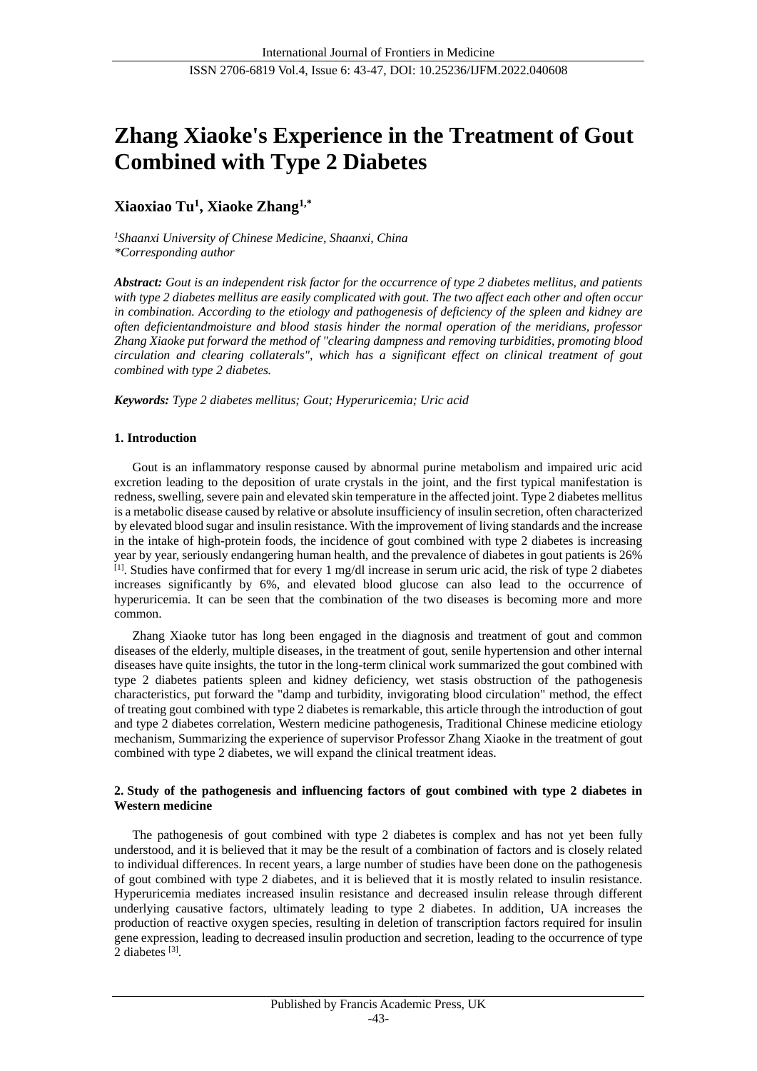# **Zhang Xiaoke's Experience in the Treatment of Gout Combined with Type 2 Diabetes**

## **Xiaoxiao Tu<sup>1</sup> , Xiaoke Zhang1,\***

*<sup>1</sup>Shaanxi University of Chinese Medicine, Shaanxi, China \*Corresponding author*

*Abstract: Gout is an independent risk factor for the occurrence of type 2 diabetes mellitus, and patients with type 2 diabetes mellitus are easily complicated with gout. The two affect each other and often occur in combination. According to the etiology and pathogenesis of deficiency of the spleen and kidney are often deficientandmoisture and blood stasis hinder the normal operation of the meridians, professor Zhang Xiaoke put forward the method of "clearing dampness and removing turbidities, promoting blood circulation and clearing collaterals", which has a significant effect on clinical treatment of gout combined with type 2 diabetes.*

*Keywords: Type 2 diabetes mellitus; Gout; Hyperuricemia; Uric acid*

## **1. Introduction**

Gout is an inflammatory response caused by abnormal purine metabolism and impaired uric acid excretion leading to the deposition of urate crystals in the joint, and the first typical manifestation is redness, swelling, severe pain and elevated skin temperature in the affected joint. Type 2 diabetes mellitus is a metabolic disease caused by relative or absolute insufficiency of insulin secretion, often characterized by elevated blood sugar and insulin resistance. With the improvement of living standards and the increase in the intake of high-protein foods, the incidence of gout combined with type 2 diabetes is increasing year by year, seriously endangering human health, and the prevalence of diabetes in gout patients is 26% [1]. Studies have confirmed that for every 1 mg/dl increase in serum uric acid, the risk of type 2 diabetes increases significantly by 6%, and elevated blood glucose can also lead to the occurrence of hyperuricemia. It can be seen that the combination of the two diseases is becoming more and more common.

Zhang Xiaoke tutor has long been engaged in the diagnosis and treatment of gout and common diseases of the elderly, multiple diseases, in the treatment of gout, senile hypertension and other internal diseases have quite insights, the tutor in the long-term clinical work summarized the gout combined with type 2 diabetes patients spleen and kidney deficiency, wet stasis obstruction of the pathogenesis characteristics, put forward the "damp and turbidity, invigorating blood circulation" method, the effect of treating gout combined with type 2 diabetes is remarkable, this article through the introduction of gout and type 2 diabetes correlation, Western medicine pathogenesis, Traditional Chinese medicine etiology mechanism, Summarizing the experience of supervisor Professor Zhang Xiaoke in the treatment of gout combined with type 2 diabetes, we will expand the clinical treatment ideas.

## **2. Study of the pathogenesis and influencing factors of gout combined with type 2 diabetes in Western medicine**

The pathogenesis of gout combined with type 2 diabetes is complex and has not yet been fully understood, and it is believed that it may be the result of a combination of factors and is closely related to individual differences. In recent years, a large number of studies have been done on the pathogenesis of gout combined with type 2 diabetes, and it is believed that it is mostly related to insulin resistance. Hyperuricemia mediates increased insulin resistance and decreased insulin release through different underlying causative factors, ultimately leading to type 2 diabetes. In addition, UA increases the production of reactive oxygen species, resulting in deletion of transcription factors required for insulin gene expression, leading to decreased insulin production and secretion, leading to the occurrence of type 2 diabetes [3].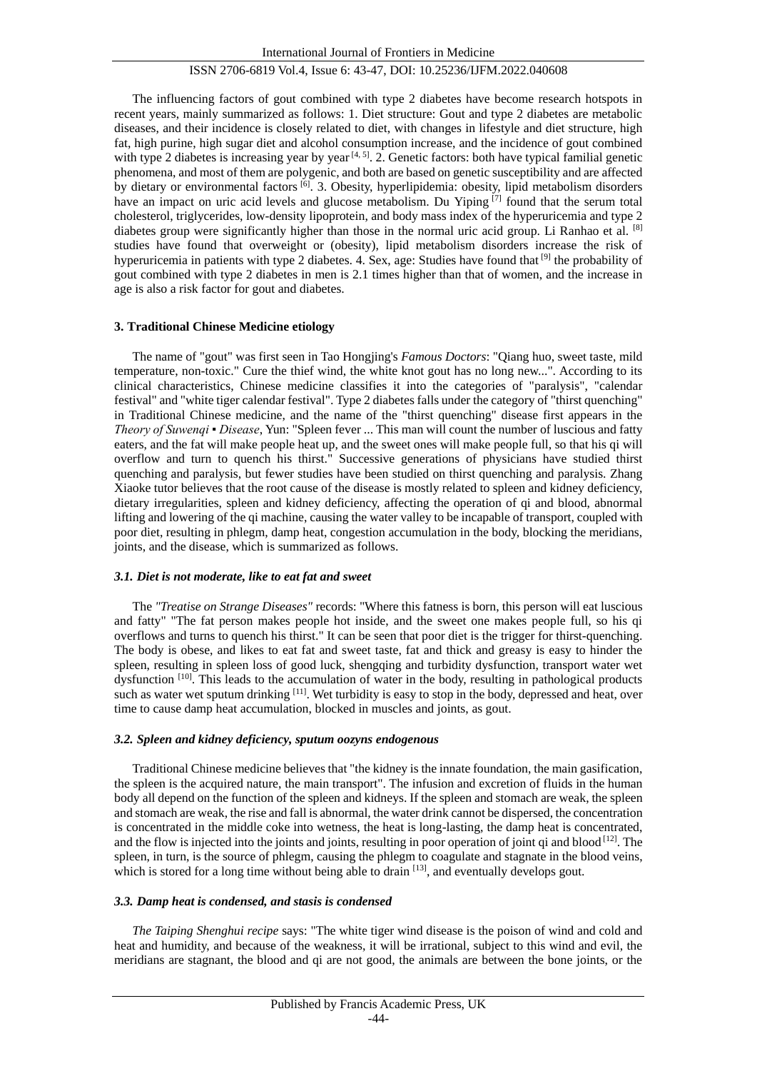The influencing factors of gout combined with type 2 diabetes have become research hotspots in recent years, mainly summarized as follows: 1. Diet structure: Gout and type 2 diabetes are metabolic diseases, and their incidence is closely related to diet, with changes in lifestyle and diet structure, high fat, high purine, high sugar diet and alcohol consumption increase, and the incidence of gout combined with type 2 diabetes is increasing year by year<sup>[4, 5]</sup>. 2. Genetic factors: both have typical familial genetic phenomena, and most of them are polygenic, and both are based on genetic susceptibility and are affected by dietary or environmental factors <sup>[6]</sup>. 3. Obesity, hyperlipidemia: obesity, lipid metabolism disorders have an impact on uric acid levels and glucose metabolism. Du Yiping [7] found that the serum total cholesterol, triglycerides, low-density lipoprotein, and body mass index of the hyperuricemia and type 2 diabetes group were significantly higher than those in the normal uric acid group. Li Ranhao et al. [8] studies have found that overweight or (obesity), lipid metabolism disorders increase the risk of hyperuricemia in patients with type 2 diabetes. 4. Sex, age: Studies have found that  $[9]$  the probability of gout combined with type 2 diabetes in men is 2.1 times higher than that of women, and the increase in age is also a risk factor for gout and diabetes.

#### **3. Traditional Chinese Medicine etiology**

The name of "gout" was first seen in Tao Hongjing's *Famous Doctors*: "Qiang huo, sweet taste, mild temperature, non-toxic." Cure the thief wind, the white knot gout has no long new...". According to its clinical characteristics, Chinese medicine classifies it into the categories of "paralysis", "calendar festival" and "white tiger calendar festival". Type 2 diabetes falls under the category of "thirst quenching" in Traditional Chinese medicine, and the name of the "thirst quenching" disease first appears in the *Theory of Suwenqi ▪ Disease*, Yun: "Spleen fever ... This man will count the number of luscious and fatty eaters, and the fat will make people heat up, and the sweet ones will make people full, so that his qi will overflow and turn to quench his thirst." Successive generations of physicians have studied thirst quenching and paralysis, but fewer studies have been studied on thirst quenching and paralysis. Zhang Xiaoke tutor believes that the root cause of the disease is mostly related to spleen and kidney deficiency, dietary irregularities, spleen and kidney deficiency, affecting the operation of qi and blood, abnormal lifting and lowering of the qi machine, causing the water valley to be incapable of transport, coupled with poor diet, resulting in phlegm, damp heat, congestion accumulation in the body, blocking the meridians, joints, and the disease, which is summarized as follows.

#### *3.1. Diet is not moderate, like to eat fat and sweet*

The *"Treatise on Strange Diseases"* records: "Where this fatness is born, this person will eat luscious and fatty" "The fat person makes people hot inside, and the sweet one makes people full, so his qi overflows and turns to quench his thirst." It can be seen that poor diet is the trigger for thirst-quenching. The body is obese, and likes to eat fat and sweet taste, fat and thick and greasy is easy to hinder the spleen, resulting in spleen loss of good luck, shengqing and turbidity dysfunction, transport water wet dysfunction [10]. This leads to the accumulation of water in the body, resulting in pathological products such as water wet sputum drinking [11]. Wet turbidity is easy to stop in the body, depressed and heat, over time to cause damp heat accumulation, blocked in muscles and joints, as gout.

#### *3.2. Spleen and kidney deficiency, sputum oozyns endogenous*

Traditional Chinese medicine believes that "the kidney is the innate foundation, the main gasification, the spleen is the acquired nature, the main transport". The infusion and excretion of fluids in the human body all depend on the function of the spleen and kidneys. If the spleen and stomach are weak, the spleen and stomach are weak, the rise and fall is abnormal, the water drink cannot be dispersed, the concentration is concentrated in the middle coke into wetness, the heat is long-lasting, the damp heat is concentrated, and the flow is injected into the joints and joints, resulting in poor operation of joint qi and blood  $[12]$ . The spleen, in turn, is the source of phlegm, causing the phlegm to coagulate and stagnate in the blood veins, which is stored for a long time without being able to drain  $[13]$ , and eventually develops gout.

## *3.3. Damp heat is condensed, and stasis is condensed*

*The Taiping Shenghui recipe* says: "The white tiger wind disease is the poison of wind and cold and heat and humidity, and because of the weakness, it will be irrational, subject to this wind and evil, the meridians are stagnant, the blood and qi are not good, the animals are between the bone joints, or the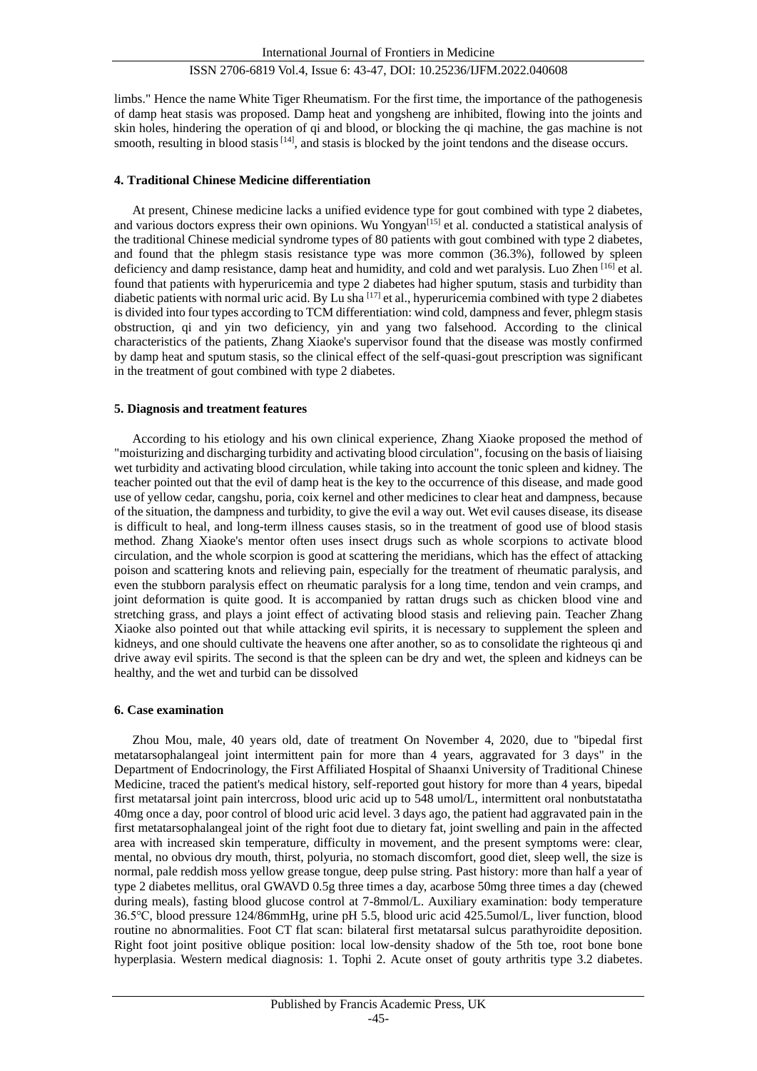limbs." Hence the name White Tiger Rheumatism. For the first time, the importance of the pathogenesis of damp heat stasis was proposed. Damp heat and yongsheng are inhibited, flowing into the joints and skin holes, hindering the operation of qi and blood, or blocking the qi machine, the gas machine is not smooth, resulting in blood stasis  $[14]$ , and stasis is blocked by the joint tendons and the disease occurs.

## **4. Traditional Chinese Medicine differentiation**

At present, Chinese medicine lacks a unified evidence type for gout combined with type 2 diabetes, and various doctors express their own opinions. Wu Yongyan<sup>[15]</sup> et al. conducted a statistical analysis of the traditional Chinese medicial syndrome types of 80 patients with gout combined with type 2 diabetes, and found that the phlegm stasis resistance type was more common (36.3%), followed by spleen deficiency and damp resistance, damp heat and humidity, and cold and wet paralysis. Luo Zhen [16] et al. found that patients with hyperuricemia and type 2 diabetes had higher sputum, stasis and turbidity than diabetic patients with normal uric acid. By Lu sha [17] et al., hyperuricemia combined with type 2 diabetes is divided into four types according to TCM differentiation: wind cold, dampness and fever, phlegm stasis obstruction, qi and yin two deficiency, yin and yang two falsehood. According to the clinical characteristics of the patients, Zhang Xiaoke's supervisor found that the disease was mostly confirmed by damp heat and sputum stasis, so the clinical effect of the self-quasi-gout prescription was significant in the treatment of gout combined with type 2 diabetes.

## **5. Diagnosis and treatment features**

According to his etiology and his own clinical experience, Zhang Xiaoke proposed the method of "moisturizing and discharging turbidity and activating blood circulation", focusing on the basis of liaising wet turbidity and activating blood circulation, while taking into account the tonic spleen and kidney. The teacher pointed out that the evil of damp heat is the key to the occurrence of this disease, and made good use of yellow cedar, cangshu, poria, coix kernel and other medicines to clear heat and dampness, because of the situation, the dampness and turbidity, to give the evil a way out. Wet evil causes disease, its disease is difficult to heal, and long-term illness causes stasis, so in the treatment of good use of blood stasis method. Zhang Xiaoke's mentor often uses insect drugs such as whole scorpions to activate blood circulation, and the whole scorpion is good at scattering the meridians, which has the effect of attacking poison and scattering knots and relieving pain, especially for the treatment of rheumatic paralysis, and even the stubborn paralysis effect on rheumatic paralysis for a long time, tendon and vein cramps, and joint deformation is quite good. It is accompanied by rattan drugs such as chicken blood vine and stretching grass, and plays a joint effect of activating blood stasis and relieving pain. Teacher Zhang Xiaoke also pointed out that while attacking evil spirits, it is necessary to supplement the spleen and kidneys, and one should cultivate the heavens one after another, so as to consolidate the righteous qi and drive away evil spirits. The second is that the spleen can be dry and wet, the spleen and kidneys can be healthy, and the wet and turbid can be dissolved

## **6. Case examination**

Zhou Mou, male, 40 years old, date of treatment On November 4, 2020, due to "bipedal first metatarsophalangeal joint intermittent pain for more than 4 years, aggravated for 3 days" in the Department of Endocrinology, the First Affiliated Hospital of Shaanxi University of Traditional Chinese Medicine, traced the patient's medical history, self-reported gout history for more than 4 years, bipedal first metatarsal joint pain intercross, blood uric acid up to 548 umol/L, intermittent oral nonbutstatatha 40mg once a day, poor control of blood uric acid level. 3 days ago, the patient had aggravated pain in the first metatarsophalangeal joint of the right foot due to dietary fat, joint swelling and pain in the affected area with increased skin temperature, difficulty in movement, and the present symptoms were: clear, mental, no obvious dry mouth, thirst, polyuria, no stomach discomfort, good diet, sleep well, the size is normal, pale reddish moss yellow grease tongue, deep pulse string. Past history: more than half a year of type 2 diabetes mellitus, oral GWAVD 0.5g three times a day, acarbose 50mg three times a day (chewed during meals), fasting blood glucose control at 7-8mmol/L. Auxiliary examination: body temperature 36.5℃, blood pressure 124/86mmHg, urine pH 5.5, blood uric acid 425.5umol/L, liver function, blood routine no abnormalities. Foot CT flat scan: bilateral first metatarsal sulcus parathyroidite deposition. Right foot joint positive oblique position: local low-density shadow of the 5th toe, root bone bone hyperplasia. Western medical diagnosis: 1. Tophi 2. Acute onset of gouty arthritis type 3.2 diabetes.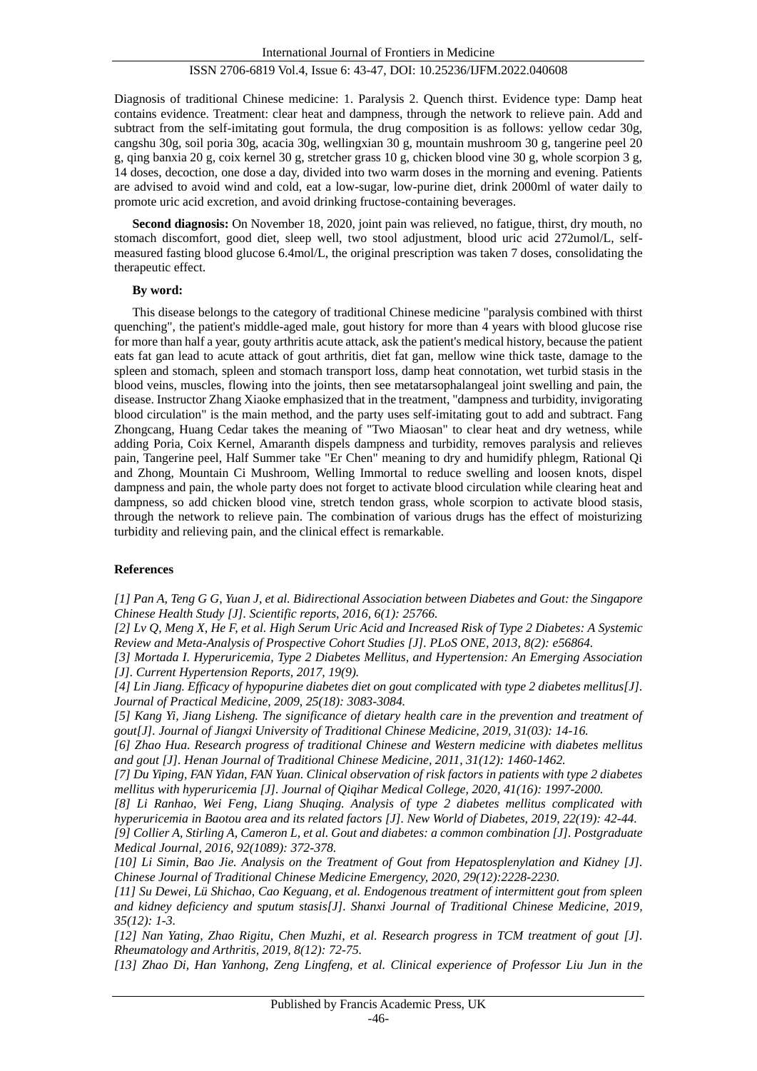Diagnosis of traditional Chinese medicine: 1. Paralysis 2. Quench thirst. Evidence type: Damp heat contains evidence. Treatment: clear heat and dampness, through the network to relieve pain. Add and subtract from the self-imitating gout formula, the drug composition is as follows: yellow cedar 30g, cangshu 30g, soil poria 30g, acacia 30g, wellingxian 30 g, mountain mushroom 30 g, tangerine peel 20 g, qing banxia 20 g, coix kernel 30 g, stretcher grass 10 g, chicken blood vine 30 g, whole scorpion 3 g, 14 doses, decoction, one dose a day, divided into two warm doses in the morning and evening. Patients are advised to avoid wind and cold, eat a low-sugar, low-purine diet, drink 2000ml of water daily to promote uric acid excretion, and avoid drinking fructose-containing beverages.

**Second diagnosis:** On November 18, 2020, joint pain was relieved, no fatigue, thirst, dry mouth, no stomach discomfort, good diet, sleep well, two stool adjustment, blood uric acid 272umol/L, selfmeasured fasting blood glucose 6.4mol/L, the original prescription was taken 7 doses, consolidating the therapeutic effect.

## **By word:**

This disease belongs to the category of traditional Chinese medicine "paralysis combined with thirst quenching", the patient's middle-aged male, gout history for more than 4 years with blood glucose rise for more than half a year, gouty arthritis acute attack, ask the patient's medical history, because the patient eats fat gan lead to acute attack of gout arthritis, diet fat gan, mellow wine thick taste, damage to the spleen and stomach, spleen and stomach transport loss, damp heat connotation, wet turbid stasis in the blood veins, muscles, flowing into the joints, then see metatarsophalangeal joint swelling and pain, the disease. Instructor Zhang Xiaoke emphasized that in the treatment, "dampness and turbidity, invigorating blood circulation" is the main method, and the party uses self-imitating gout to add and subtract. Fang Zhongcang, Huang Cedar takes the meaning of "Two Miaosan" to clear heat and dry wetness, while adding Poria, Coix Kernel, Amaranth dispels dampness and turbidity, removes paralysis and relieves pain, Tangerine peel, Half Summer take "Er Chen" meaning to dry and humidify phlegm, Rational Qi and Zhong, Mountain Ci Mushroom, Welling Immortal to reduce swelling and loosen knots, dispel dampness and pain, the whole party does not forget to activate blood circulation while clearing heat and dampness, so add chicken blood vine, stretch tendon grass, whole scorpion to activate blood stasis, through the network to relieve pain. The combination of various drugs has the effect of moisturizing turbidity and relieving pain, and the clinical effect is remarkable.

### **References**

*[1] Pan A, Teng G G, Yuan J, et al. Bidirectional Association between Diabetes and Gout: the Singapore Chinese Health Study [J]. Scientific reports, 2016, 6(1): 25766.*

*[2] Lv Q, Meng X, He F, et al. High Serum Uric Acid and Increased Risk of Type 2 Diabetes: A Systemic Review and Meta-Analysis of Prospective Cohort Studies [J]. PLoS ONE, 2013, 8(2): e56864.*

*[3] Mortada I. Hyperuricemia, Type 2 Diabetes Mellitus, and Hypertension: An Emerging Association [J]. Current Hypertension Reports, 2017, 19(9).*

*[4] Lin Jiang. Efficacy of hypopurine diabetes diet on gout complicated with type 2 diabetes mellitus[J]. Journal of Practical Medicine, 2009, 25(18): 3083-3084.*

*[5] Kang Yi, Jiang Lisheng. The significance of dietary health care in the prevention and treatment of gout[J]. Journal of Jiangxi University of Traditional Chinese Medicine, 2019, 31(03): 14-16.*

*[6] Zhao Hua. Research progress of traditional Chinese and Western medicine with diabetes mellitus and gout [J]. Henan Journal of Traditional Chinese Medicine, 2011, 31(12): 1460-1462.*

*[7] Du Yiping, FAN Yidan, FAN Yuan. Clinical observation of risk factors in patients with type 2 diabetes mellitus with hyperuricemia [J]. Journal of Qiqihar Medical College, 2020, 41(16): 1997-2000.*

*[8] Li Ranhao, Wei Feng, Liang Shuqing. Analysis of type 2 diabetes mellitus complicated with hyperuricemia in Baotou area and its related factors [J]. New World of Diabetes, 2019, 22(19): 42-44. [9] Collier A, Stirling A, Cameron L, et al. Gout and diabetes: a common combination [J]. Postgraduate* 

*Medical Journal, 2016, 92(1089): 372-378.*

*[10] Li Simin, Bao Jie. Analysis on the Treatment of Gout from Hepatosplenylation and Kidney [J]. Chinese Journal of Traditional Chinese Medicine Emergency, 2020, 29(12):2228-2230.*

*[11] Su Dewei, Lü Shichao, Cao Keguang, et al. Endogenous treatment of intermittent gout from spleen and kidney deficiency and sputum stasis[J]. Shanxi Journal of Traditional Chinese Medicine, 2019, 35(12): 1-3.*

*[12] Nan Yating, Zhao Rigitu, Chen Muzhi, et al. Research progress in TCM treatment of gout [J]. Rheumatology and Arthritis, 2019, 8(12): 72-75.*

*[13] Zhao Di, Han Yanhong, Zeng Lingfeng, et al. Clinical experience of Professor Liu Jun in the*